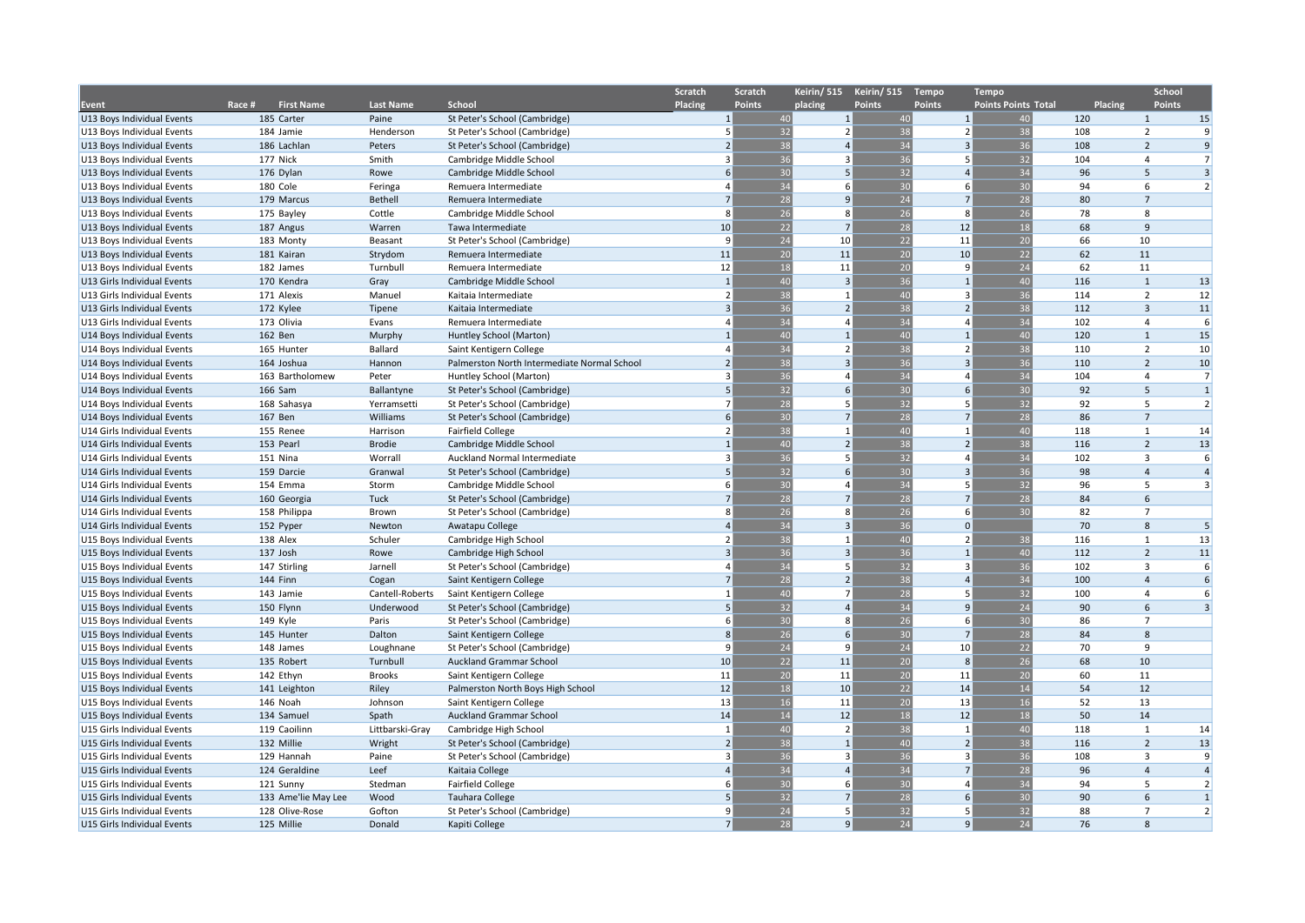|                             |                             |                  |                                             | Scratch | Scratch                                    | Keirin/515     | Keirin/ 515     | <b>Tempo</b>               | <b>Tempo</b>               |     |                         | School         |
|-----------------------------|-----------------------------|------------------|---------------------------------------------|---------|--------------------------------------------|----------------|-----------------|----------------------------|----------------------------|-----|-------------------------|----------------|
| Event                       | <b>First Name</b><br>Race # | <b>Last Name</b> | <b>School</b>                               | Placing | <b>Points</b>                              | placing        | <b>Points</b>   | <b>Points</b>              | <b>Points Points Total</b> |     | <b>Placing</b>          | <b>Points</b>  |
| U13 Boys Individual Events  | 185 Carter                  | Paine            | St Peter's School (Cambridge)               |         | 40<br>$\mathbf{1}$                         | 1              | 40              | 1                          | 40                         | 120 | $\mathbf{1}$            | 15             |
| U13 Boys Individual Events  | 184 Jamie                   | Henderson        | St Peter's School (Cambridge)               |         | 32<br>5                                    | $\overline{2}$ | 38              | $\overline{2}$             | 38                         | 108 | $\overline{2}$          | 9              |
| U13 Boys Individual Events  | 186 Lachlan                 | Peters           | St Peter's School (Cambridge)               |         | 38<br>$\overline{2}$                       | $\overline{4}$ | 34              | $\overline{3}$             | 36                         | 108 | $\overline{2}$          | $\overline{9}$ |
| U13 Boys Individual Events  | 177 Nick                    | Smith            | Cambridge Middle School                     |         | 36<br>3                                    | 3              | 36              | .5                         | 32                         | 104 | $\overline{4}$          | $\overline{7}$ |
| U13 Boys Individual Events  | 176 Dylan                   | Rowe             | Cambridge Middle School                     |         | 30<br>6                                    | 5              | 32              | $\overline{a}$             | $\overline{34}$            | 96  | 5                       | $\overline{3}$ |
| U13 Boys Individual Events  | 180 Cole                    | Feringa          | Remuera Intermediate                        |         | 34                                         | 6              | 30              | 6                          | 30                         | 94  | 6                       | $\overline{2}$ |
| U13 Boys Individual Events  | 179 Marcus                  | <b>Bethell</b>   | Remuera Intermediate                        |         | 28<br>$\overline{7}$                       | 9              | 24              | $\overline{7}$             | 28                         | 80  | $\overline{7}$          |                |
| U13 Boys Individual Events  | 175 Bayley                  | Cottle           | Cambridge Middle School                     |         | 26<br>8                                    | 8              | 26              | $\mathbf{g}$               | 26                         | 78  | 8                       |                |
| U13 Boys Individual Events  | 187 Angus                   | Warren           | Tawa Intermediate                           |         | 22<br>10                                   | $\overline{7}$ | 28              | 12                         | 18                         | 68  | 9                       |                |
| U13 Boys Individual Events  | 183 Monty                   | Beasant          | St Peter's School (Cambridge)               |         | 24<br>9                                    | 10             | 22              | 11                         | 20                         | 66  | 10                      |                |
| U13 Boys Individual Events  | 181 Kairan                  | Strydom          | Remuera Intermediate                        |         | 20<br>11                                   | 11             | 20              | 10                         | 22                         | 62  | 11                      |                |
| U13 Boys Individual Events  | 182 James                   | Turnbull         | Remuera Intermediate                        |         | 18<br>12                                   | 11             | 20              | -9                         | 24                         | 62  | 11                      |                |
| U13 Girls Individual Events | 170 Kendra                  | Gray             | Cambridge Middle School                     |         | 40<br>$\overline{1}$                       | $\overline{3}$ | 36              | $\overline{1}$             | 40                         | 116 | $\mathbf{1}$            | 13             |
| U13 Girls Individual Events | 171 Alexis                  | Manuel           | Kaitaia Intermediate                        |         | 38<br>$\overline{2}$                       | $\mathbf{1}$   | 40              | ़                          | 36                         | 114 | $\overline{2}$          | 12             |
| U13 Girls Individual Events | 172 Kylee                   | Tipene           | Kaitaia Intermediate                        |         | 36<br>3                                    | $\overline{2}$ | 38              | $\overline{2}$             | 38                         | 112 | $\overline{\mathbf{3}}$ | 11             |
| U13 Girls Individual Events | 173 Olivia                  | Evans            | Remuera Intermediate                        |         | 34                                         | $\overline{4}$ | 34              | $\Delta$                   | 34                         | 102 | $\overline{4}$          | 6              |
| U14 Boys Individual Events  | 162 Ben                     | Murphy           | Huntley School (Marton)                     |         | 40                                         | $\overline{1}$ | 40              | $\overline{1}$             | 40                         | 120 | $\mathbf{1}$            | 15             |
| U14 Boys Individual Events  | 165 Hunter                  | Ballard          | Saint Kentigern College                     |         | 34                                         | $\overline{2}$ | 38              | $\overline{2}$             | 38                         | 110 | $\overline{2}$          | 10             |
| U14 Boys Individual Events  | 164 Joshua                  | Hannon           | Palmerston North Intermediate Normal School |         | 38<br>$\overline{2}$                       | 3              | $\overline{36}$ | $\overline{\mathbf{3}}$    | 36                         | 110 | $\overline{2}$          | 10             |
| U14 Boys Individual Events  | 163 Bartholomew             | Peter            | Huntley School (Marton)                     |         | 36<br>$\overline{3}$                       | $\overline{4}$ | 34              | $\overline{\mathbf{A}}$    | 34                         | 104 | $\overline{4}$          | $\overline{7}$ |
| U14 Boys Individual Events  | 166 Sam                     | Ballantyne       | St Peter's School (Cambridge)               |         | 32<br>5                                    | 6              | 30              | $\mathsf{f}$               | 30                         | 92  | 5                       | $\mathbf{1}$   |
|                             |                             |                  |                                             |         | 28<br>$\overline{ }$                       | 5              | 32              | 5                          | 32                         | 92  | 5                       | $\overline{2}$ |
| U14 Boys Individual Events  | 168 Sahasya<br>167 Ben      | Yerramsetti      | St Peter's School (Cambridge)               |         | 30<br>6                                    | $\overline{7}$ | 28              | $\overline{7}$             | 28                         | 86  | $\overline{7}$          |                |
| U14 Boys Individual Events  | 155 Renee                   | Williams         | St Peter's School (Cambridge)               |         | 38<br>$\overline{2}$                       | $\mathbf{1}$   | 40              | 1                          | 40                         | 118 | $\mathbf{1}$            | 14             |
| U14 Girls Individual Events |                             | Harrison         | <b>Fairfield College</b>                    |         |                                            | $\overline{2}$ |                 |                            | 38                         |     | $\overline{2}$          |                |
| U14 Girls Individual Events | 153 Pearl                   | <b>Brodie</b>    | Cambridge Middle School                     |         | 40                                         | 5              | 38              | $\overline{2}$<br>$\Delta$ |                            | 116 |                         | 13<br>6        |
| U14 Girls Individual Events | 151 Nina                    | Worrall          | Auckland Normal Intermediate                |         | 36<br>3                                    | 6              | 32              | $\overline{3}$             | $\overline{34}$            | 102 | 3                       |                |
| U14 Girls Individual Events | 159 Darcie                  | Granwal          | St Peter's School (Cambridge)               |         | 32<br>5                                    |                | 30              |                            | 36                         | 98  | $\overline{4}$<br>5     | $\overline{4}$ |
| U14 Girls Individual Events | 154 Emma                    | Storm            | Cambridge Middle School                     |         | 30<br>6                                    | $\overline{4}$ | 34              | 5                          | 32                         | 96  |                         | $\overline{3}$ |
| U14 Girls Individual Events | 160 Georgia                 | Tuck             | St Peter's School (Cambridge)               |         | 28<br>$\overline{7}$                       | $\overline{7}$ | 28              | $\overline{7}$             | 28                         | 84  | 6                       |                |
| U14 Girls Individual Events | 158 Philippa                | Brown            | St Peter's School (Cambridge)               |         | 26<br>8                                    | 8              | 26              | 6                          | 30                         | 82  | $\overline{7}$          |                |
| U14 Girls Individual Events | 152 Pyper                   | Newton           | Awatapu College                             |         | 34<br>$\overline{A}$                       | $\overline{3}$ | 36              | $\Omega$                   |                            | 70  | $\mathbf{8}$            | 5              |
| U15 Boys Individual Events  | 138 Alex                    | Schuler          | Cambridge High School                       |         | 38<br>$\overline{2}$                       | $\mathbf{1}$   | 40              | $\overline{2}$             | 38                         | 116 | $\mathbf{1}$            | 13             |
| U15 Boys Individual Events  | 137 Josh                    | Rowe             | Cambridge High School                       |         | $\overline{36}$<br>$\overline{\mathbf{3}}$ | 3              | 36              | $\overline{1}$             | 40                         | 112 | $\overline{2}$          | 11             |
| U15 Boys Individual Events  | 147 Stirling                | Jarnell          | St Peter's School (Cambridge)               |         | 34                                         | 5              | 32              | $\overline{3}$             | 36                         | 102 | $\overline{3}$          | 6              |
| U15 Boys Individual Events  | 144 Finn                    | Cogan            | Saint Kentigern College                     |         | 28<br>$\overline{7}$                       | $\overline{2}$ | 38              | $\overline{4}$             | 34                         | 100 | $\overline{4}$          | 6              |
| U15 Boys Individual Events  | 143 Jamie                   | Cantell-Roberts  | Saint Kentigern College                     |         | 40                                         | $\overline{7}$ | 28              | -5                         | 32                         | 100 | $\overline{4}$          | 6              |
| U15 Boys Individual Events  | 150 Flynn                   | Underwood        | St Peter's School (Cambridge)               |         | 32<br>5                                    | $\overline{4}$ | 34              | 9                          | $\overline{24}$            | 90  | 6                       | $\overline{3}$ |
| U15 Boys Individual Events  | 149 Kyle                    | Paris            | St Peter's School (Cambridge)               |         | 30<br>6                                    | 8              | 26              | 6                          | 30                         | 86  | $\overline{7}$          |                |
| U15 Boys Individual Events  | 145 Hunter                  | Dalton           | Saint Kentigern College                     |         | 26<br>8                                    | 6              | 30              | $\overline{7}$             | 28                         | 84  | 8                       |                |
| U15 Boys Individual Events  | 148 James                   | Loughnane        | St Peter's School (Cambridge)               |         | 24<br>9                                    | q              | 24              | 10                         | $\overline{22}$            | 70  | 9                       |                |
| U15 Boys Individual Events  | 135 Robert                  | Turnbull         | <b>Auckland Grammar School</b>              |         | 22<br>10                                   | 11             | 20              | 8                          | 26                         | 68  | 10                      |                |
| U15 Boys Individual Events  | 142 Ethyn                   | <b>Brooks</b>    | Saint Kentigern College                     |         | 11<br>20                                   | 11             | 20              | 11                         | 20                         | 60  | 11                      |                |
| U15 Boys Individual Events  | 141 Leighton                | Riley            | Palmerston North Boys High School           |         | 12<br>18                                   | 10             | 22              | 14                         | 14                         | 54  | 12                      |                |
| U15 Boys Individual Events  | 146 Noah                    | Johnson          | Saint Kentigern College                     |         | 13<br>16                                   | 11             | 20              | 13                         | 16                         | 52  | 13                      |                |
| U15 Boys Individual Events  | 134 Samuel                  | Spath            | Auckland Grammar School                     |         | 14<br>14                                   | 12             | 18              | 12                         | 18                         | 50  | 14                      |                |
| U15 Girls Individual Events | 119 Caoilinn                | Littbarski-Gray  | Cambridge High School                       |         | 40<br>$\mathbf{1}$                         | $\overline{2}$ | 38              | $\overline{1}$             | 40                         | 118 | 1                       | 14             |
| U15 Girls Individual Events | 132 Millie                  | Wright           | St Peter's School (Cambridge)               |         | 38<br>$\overline{2}$                       | $\mathbf{1}$   | 40              | $\overline{2}$             | 38                         | 116 | $\overline{2}$          | 13             |
| U15 Girls Individual Events | 129 Hannah                  | Paine            | St Peter's School (Cambridge)               |         | 36<br>3                                    | 3              | 36              | $\overline{3}$             | 36                         | 108 | $\overline{3}$          | 9              |
| U15 Girls Individual Events | 124 Geraldine               | Leef             | Kaitaia College                             |         | 34<br>$\overline{a}$                       | $\overline{4}$ | 34              | $\overline{7}$             | 28                         | 96  | $\overline{4}$          | $\overline{4}$ |
| U15 Girls Individual Events | 121 Sunny                   | Stedman          | <b>Fairfield College</b>                    |         | 30<br>6                                    | 6              | 30              | $\overline{\mathbf{A}}$    | 34                         | 94  | 5                       | $\overline{2}$ |
| U15 Girls Individual Events | 133 Ame'lie May Lee         | Wood             | <b>Tauhara College</b>                      |         | 32<br>5                                    | $\overline{7}$ | 28              | 6 <sup>5</sup>             | 30                         | 90  | 6                       | $\mathbf{1}$   |
| U15 Girls Individual Events | 128 Olive-Rose              | Gofton           | St Peter's School (Cambridge)               |         | 24<br>q                                    | 5              | 32              | 5                          | 32                         | 88  | $\overline{7}$          | $\overline{2}$ |
| U15 Girls Individual Events | 125 Millie                  | Donald           | Kapiti College                              |         | 28                                         | $\mathbf{q}$   | 24              | $\mathbf{q}$               | 24                         | 76  | $\mathbf{8}$            |                |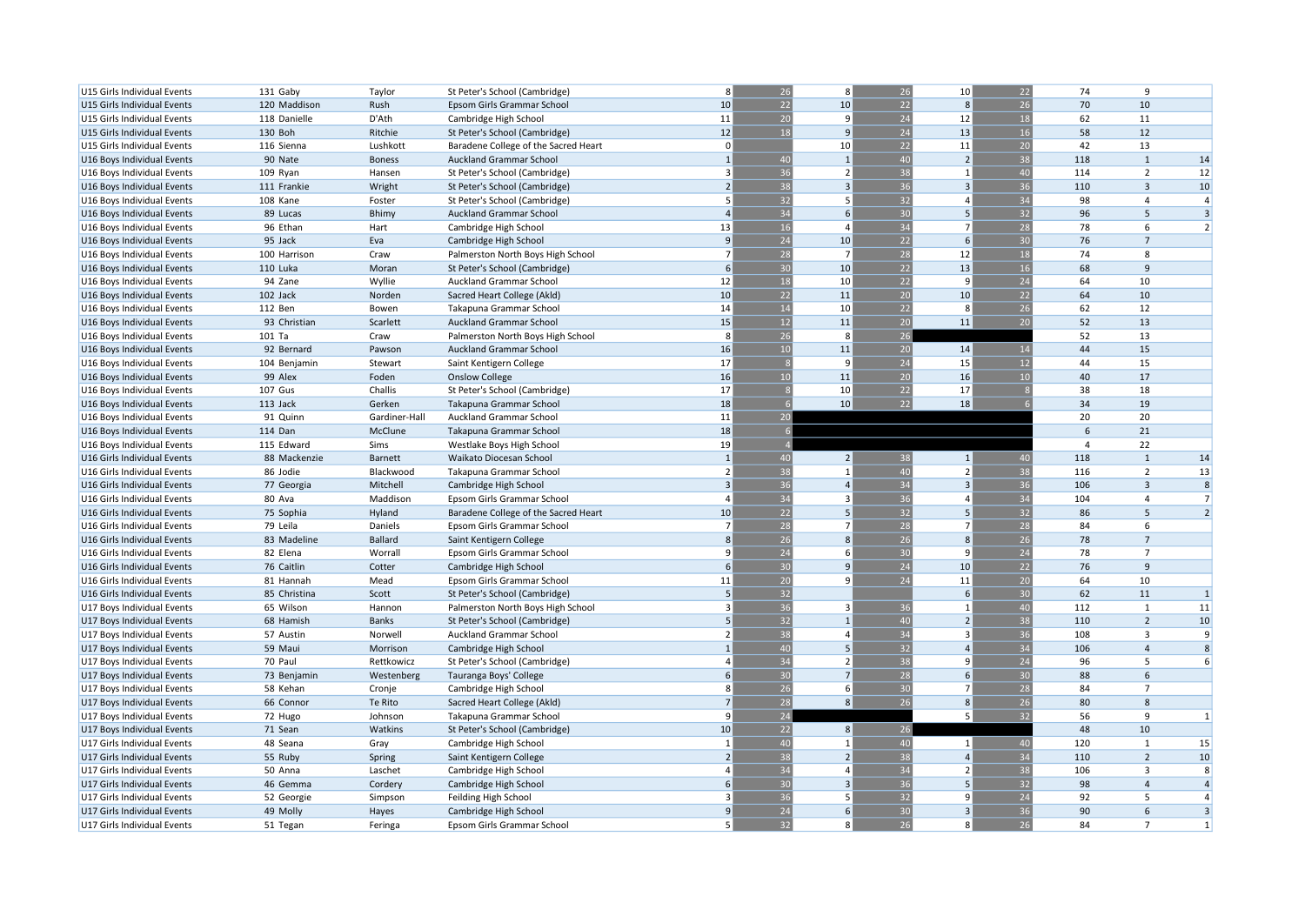| U15 Girls Individual Events                              | 131 Gaby     | Taylor         | St Peter's School (Cambridge)        | 8              | 26           | 8               | 26              | 10 <sup>1</sup>         | 22              | 74             | 9                       |                |
|----------------------------------------------------------|--------------|----------------|--------------------------------------|----------------|--------------|-----------------|-----------------|-------------------------|-----------------|----------------|-------------------------|----------------|
| U15 Girls Individual Events                              | 120 Maddison | Rush           | Epsom Girls Grammar School           | 10             | 22           | 10              | 22              | 8                       | 26              | 70             | 10                      |                |
| U15 Girls Individual Events                              | 118 Danielle | D'Ath          | Cambridge High School                | 11             | 20           | 9               | 24              | 12                      | 18              | 62             | 11                      |                |
| U15 Girls Individual Events                              | 130 Boh      | Ritchie        | St Peter's School (Cambridge)        | 12             | 18           | 9               | 24              | 13                      | 16              | 58             | 12                      |                |
| U15 Girls Individual Events                              | 116 Sienna   | Lushkott       | Baradene College of the Sacred Heart | $\mathbf 0$    |              | 10              | 22              | 11                      | 20              | 42             | 13                      |                |
| U16 Boys Individual Events                               | 90 Nate      | <b>Boness</b>  | Auckland Grammar School              | $\overline{1}$ | 40           | $\overline{1}$  | 40              | $\overline{2}$          | 38              | 118            | $\mathbf{1}$            | 14             |
| U16 Boys Individual Events                               | 109 Ryan     | Hansen         | St Peter's School (Cambridge)        | 3              | 36           | $\overline{2}$  | 38              | $\overline{1}$          | 40              | 114            | $\overline{2}$          | 12             |
| U16 Boys Individual Events                               | 111 Frankie  | Wright         | St Peter's School (Cambridge)        | $\overline{2}$ | 38           | $\overline{3}$  | 36              | $\overline{3}$          | 36              | 110            | $\overline{\mathbf{3}}$ | $10\,$         |
| U16 Boys Individual Events                               | 108 Kane     | Foster         | St Peter's School (Cambridge)        | 5              | 32           | 5               | 32              | $\mathbf{4}$            | 34              | 98             | $\overline{4}$          | $\overline{4}$ |
| U16 Boys Individual Events                               | 89 Lucas     | Bhimy          | <b>Auckland Grammar School</b>       | $\overline{4}$ | 34           | 6               | 30              | 5                       | 32              | 96             | 5                       | $\overline{3}$ |
| U16 Boys Individual Events                               | 96 Ethan     | Hart           | Cambridge High School                | 13             | 16           | $\overline{4}$  | 34              | $\overline{7}$          | 28              | 78             | 6                       | $\overline{2}$ |
| U16 Boys Individual Events                               | 95 Jack      | Eva            | Cambridge High School                | 9              | 24           | 10              | 22              | 6                       | 30              | 76             | $\overline{7}$          |                |
| U16 Boys Individual Events                               | 100 Harrison | Craw           | Palmerston North Boys High School    | $\overline{7}$ | 28           | $\overline{7}$  | 28              | 12                      | 18              | 74             | 8                       |                |
| U16 Boys Individual Events                               | 110 Luka     | Moran          | St Peter's School (Cambridge)        | 6              | 30           | 10              | 22              | 13                      | 16              | 68             | 9                       |                |
| U16 Boys Individual Events                               | 94 Zane      | Wyllie         | Auckland Grammar School              | 12             | 18           | 10 <sup>1</sup> | 22              | 9                       | $\overline{24}$ | 64             | 10                      |                |
| U16 Boys Individual Events                               | 102 Jack     | Norden         | Sacred Heart College (Akld)          | 10             | 22           | 11              | 20              | 10                      | 22              | 64             | 10                      |                |
| U16 Boys Individual Events                               | 112 Ben      | Bowen          | Takapuna Grammar School              | 14             | 14           | 10              | 22              | 8                       | 26              | 62             | 12                      |                |
|                                                          | 93 Christian | Scarlett       | Auckland Grammar School              | 15             | 12           | 11              | 20              | 11                      | $\overline{20}$ | 52             | 13                      |                |
| U16 Boys Individual Events<br>U16 Boys Individual Events | 101 Ta       | Craw           | Palmerston North Boys High School    | 8              | 26           | 8               | 26              |                         |                 | 52             | 13                      |                |
|                                                          |              |                |                                      | 16             | 10           | 11              |                 |                         |                 | 44             | 15                      |                |
| U16 Boys Individual Events                               | 92 Bernard   | Pawson         | <b>Auckland Grammar School</b>       |                |              | $\mathbf{q}$    | 20              | 14                      | 14              | 44             |                         |                |
| U16 Boys Individual Events                               | 104 Benjamin | Stewart        | Saint Kentigern College              | 17<br>16       | -8<br>10     | 11              | 24              | 15                      | 12              |                | 15                      |                |
| U16 Boys Individual Events                               | 99 Alex      | Foden          | <b>Onslow College</b>                |                |              |                 | 20              | 16                      | 10              | 40             | 17                      |                |
| U16 Boys Individual Events                               | 107 Gus      | Challis        | St Peter's School (Cambridge)        | 17             | $\mathbf{8}$ | 10              | 22              | 17                      |                 | 38             | 18                      |                |
| U16 Boys Individual Events                               | 113 Jack     | Gerken         | Takapuna Grammar School              | 18             | 6            | 10              | 22              | 18                      |                 | 34             | 19                      |                |
| U16 Boys Individual Events                               | 91 Quinn     | Gardiner-Hall  | Auckland Grammar School              | 11             | 20           |                 |                 |                         |                 | 20             | 20                      |                |
| U16 Boys Individual Events                               | 114 Dan      | McClune        | Takapuna Grammar School              | 18             |              |                 |                 |                         |                 | 6              | 21                      |                |
| U16 Boys Individual Events                               | 115 Edward   | Sims           | Westlake Boys High School            | 19             |              |                 |                 |                         |                 | $\overline{A}$ | 22                      |                |
| U16 Girls Individual Events                              | 88 Mackenzie | Barnett        | Waikato Diocesan School              | $\overline{1}$ | 40           | 2               | 38              | $\mathbf{1}$            | 40              | 118            | $\mathbf{1}$            | 14             |
| U16 Girls Individual Events                              | 86 Jodie     | Blackwood      | Takapuna Grammar School              | $\overline{2}$ | 38           | $\mathbf{1}$    | 40              | $\overline{2}$          | 38              | 116            | $\overline{2}$          | 13             |
| U16 Girls Individual Events                              | 77 Georgia   | Mitchell       | Cambridge High School                | $\overline{3}$ | 36           | $\overline{4}$  | 34              | $\overline{\mathbf{3}}$ | $\overline{36}$ | 106            | $\overline{3}$          | 8              |
| U16 Girls Individual Events                              | 80 Ava       | Maddison       | Epsom Girls Grammar School           | 4              | 34           | $\overline{3}$  | 36              | $\Delta$                | 34              | 104            | $\overline{4}$          | $\overline{7}$ |
| U16 Girls Individual Events                              | 75 Sophia    | Hyland         | Baradene College of the Sacred Heart | 10             | 22           | 5               | 32              | 5                       | 32              | 86             | 5                       | $\overline{2}$ |
| U16 Girls Individual Events                              | 79 Leila     | Daniels        | Epsom Girls Grammar School           | $\overline{7}$ | 28           | $\overline{7}$  | 28              | $\overline{7}$          | 28              | 84             | 6                       |                |
| U16 Girls Individual Events                              | 83 Madeline  | <b>Ballard</b> | Saint Kentigern College              | 8              | 26           | $\mathbf{8}$    | 26              | $\mathbf{R}$            | 26              | 78             | $\overline{7}$          |                |
| U16 Girls Individual Events                              | 82 Elena     | Worrall        | Epsom Girls Grammar School           | 9              | 24           | 6               | 30              | 9                       | 24              | 78             | $\overline{7}$          |                |
| U16 Girls Individual Events                              | 76 Caitlin   | Cotter         | Cambridge High School                | 6              | 30           | 9               | 24              | 10                      | 22              | 76             | 9                       |                |
| U16 Girls Individual Events                              | 81 Hannah    | Mead           | Epsom Girls Grammar School           | 11             | 20           | $\mathbf{q}$    | 24              | 11                      | 20              | 64             | 10                      |                |
| U16 Girls Individual Events                              | 85 Christina | Scott          | St Peter's School (Cambridge)        | 5              | 32           |                 |                 | 6                       | 30              | 62             | 11                      | $\mathbf{1}$   |
| U17 Boys Individual Events                               | 65 Wilson    | Hannon         | Palmerston North Boys High School    | 3              | 36           | $\mathbf{a}$    | 36              | $\overline{1}$          | 40              | 112            | $\mathbf{1}$            | 11             |
| U17 Boys Individual Events                               | 68 Hamish    | <b>Banks</b>   | St Peter's School (Cambridge)        | 5              | 32           | $\overline{1}$  | 40              | $\overline{2}$          | 38              | 110            | $\overline{2}$          | 10             |
| U17 Boys Individual Events                               | 57 Austin    | Norwell        | Auckland Grammar School              | $\overline{2}$ | 38           | $\overline{4}$  | 34              | 3                       | 36              | 108            | $\overline{\mathbf{3}}$ | 9              |
| U17 Boys Individual Events                               | 59 Maui      | Morrison       | Cambridge High School                |                | 40           | 5               | 32              | $\overline{a}$          | 34              | 106            | $\overline{4}$          | 8              |
| U17 Boys Individual Events                               | 70 Paul      | Rettkowicz     | St Peter's School (Cambridge)        | 4              | 34           | $\overline{2}$  | 38              | 9                       | 24              | 96             | 5                       | 6              |
| U17 Boys Individual Events                               | 73 Benjamin  | Westenberg     | Tauranga Boys' College               | 6              | 30           | $\overline{7}$  | 28              | 6                       | $\overline{30}$ | 88             | 6                       |                |
| U17 Boys Individual Events                               | 58 Kehan     | Cronje         | Cambridge High School                | 8              | 26           | 6               | 30 <sup>°</sup> | $\overline{7}$          | 28              | 84             | $\overline{7}$          |                |
| U17 Boys Individual Events                               | 66 Connor    | Te Rito        | Sacred Heart College (Akld)          | $\overline{7}$ | 28           | 8               | 26              | $\mathbf{8}$            | 26              | 80             | 8                       |                |
| U17 Boys Individual Events                               | 72 Hugo      | Johnson        | Takapuna Grammar School              | 9              | 24           |                 |                 | 5                       | 32              | 56             | 9                       | 1              |
| U17 Boys Individual Events                               | 71 Sean      | Watkins        | St Peter's School (Cambridge)        | 10             | 22           | 8 <sup>1</sup>  | 26              |                         |                 | 48             | 10                      |                |
| U17 Girls Individual Events                              | 48 Seana     | Gray           | Cambridge High School                | $\mathbf{1}$   | 40           | $\overline{1}$  | 40              | 1                       | 40              | 120            | 1                       | 15             |
| U17 Girls Individual Events                              | 55 Ruby      | Spring         | Saint Kentigern College              | $\overline{2}$ | 38           | $\overline{2}$  | 38              | $\overline{4}$          | 34              | 110            | $\overline{2}$          | $10\,$         |
| U17 Girls Individual Events                              | 50 Anna      | Laschet        | Cambridge High School                |                | 34           | $\overline{4}$  | 34              | $\overline{2}$          | 38              | 106            | $\overline{\mathbf{3}}$ | 8              |
| U17 Girls Individual Events                              | 46 Gemma     | Cordery        | Cambridge High School                | 6              | 30           | $\overline{3}$  | 36              | 5                       | 32              | 98             | $\overline{4}$          | $\overline{4}$ |
| U17 Girls Individual Events                              | 52 Georgie   | Simpson        | Feilding High School                 |                | 36           | 5               | 32              | 9                       | 24              | 92             | 5                       | $\overline{4}$ |
| U17 Girls Individual Events                              | 49 Molly     | Hayes          | Cambridge High School                | 9              | 24           | 6               | 30              | $\overline{3}$          | 36              | 90             | 6                       | $\overline{3}$ |
| U17 Girls Individual Events                              | 51 Tegan     | Feringa        | Epsom Girls Grammar School           | 5              | 32           | 8               | 26              | 8                       | 26              | 84             | $\overline{7}$          | 1              |
|                                                          |              |                |                                      |                |              |                 |                 |                         |                 |                |                         |                |